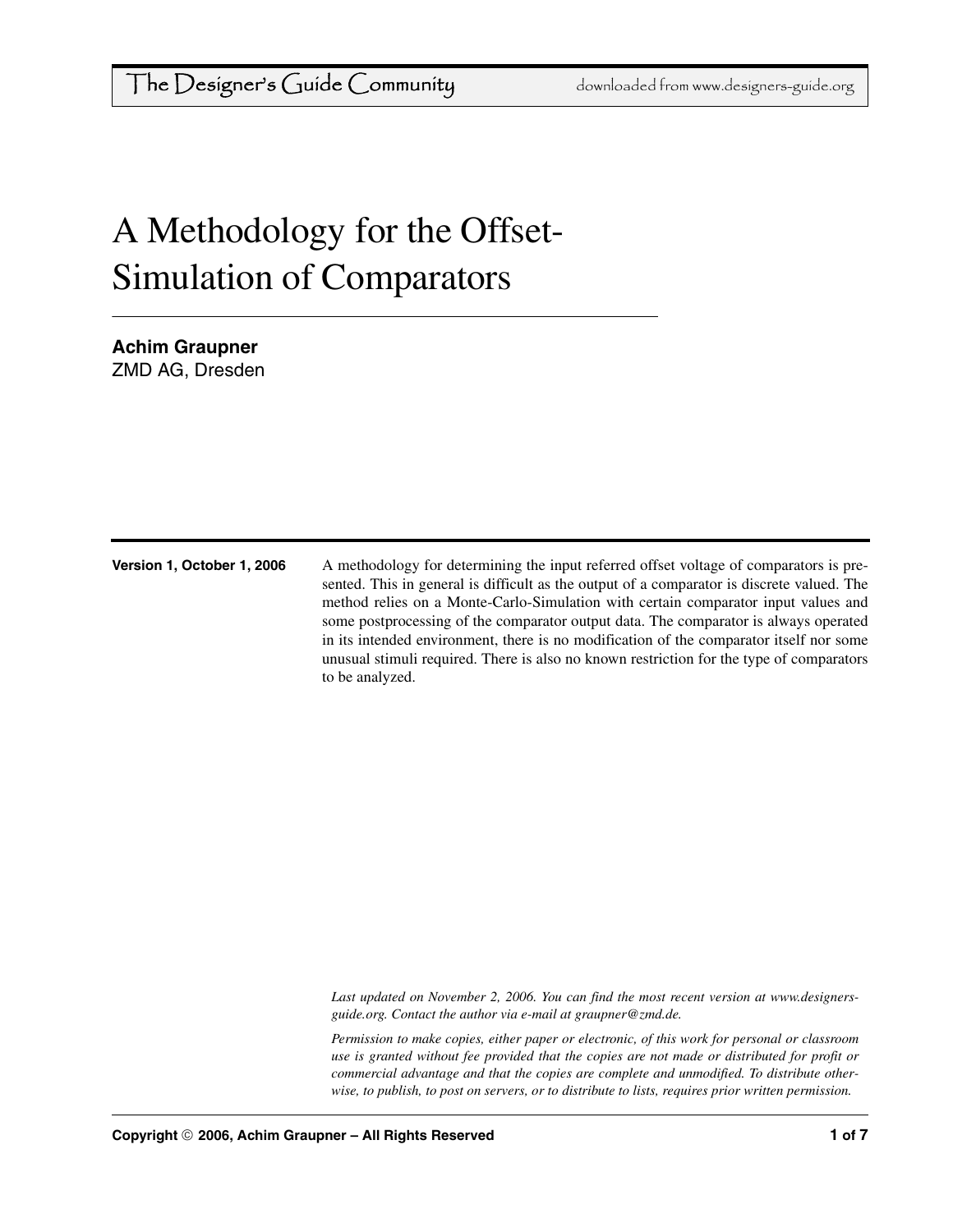# A Methodology for the Offset-Simulation of Comparators

**Achim Graupner** ZMD AG, Dresden

**Version 1, October 1, 2006** A methodology for determining the input referred offset voltage of comparators is presented. This in general is difficult as the output of a comparator is discrete valued. The method relies on a Monte-Carlo-Simulation with certain comparator input values and some postprocessing of the comparator output data. The comparator is always operated in its intended environment, there is no modification of the comparator itself nor some unusual stimuli required. There is also no known restriction for the type of comparators to be analyzed.

> *[Last updated on November 2, 2006. You can find the most recent version at www.designers](http://www.designers-guide.org)[guide.org. Contact the author via e-mail at](http://www.designers-guide.org) [graupner@zmd.de.](mailto:graupner@zmd.de)*

> *Permission to make copies, either paper or electronic, of this work for personal or classroom use is granted without fee provided that the copies are not made or distributed for profit or commercial advantage and that the copies are complete and unmodified. To distribute otherwise, to publish, to post on servers, or to distribute to lists, requires prior written permission.*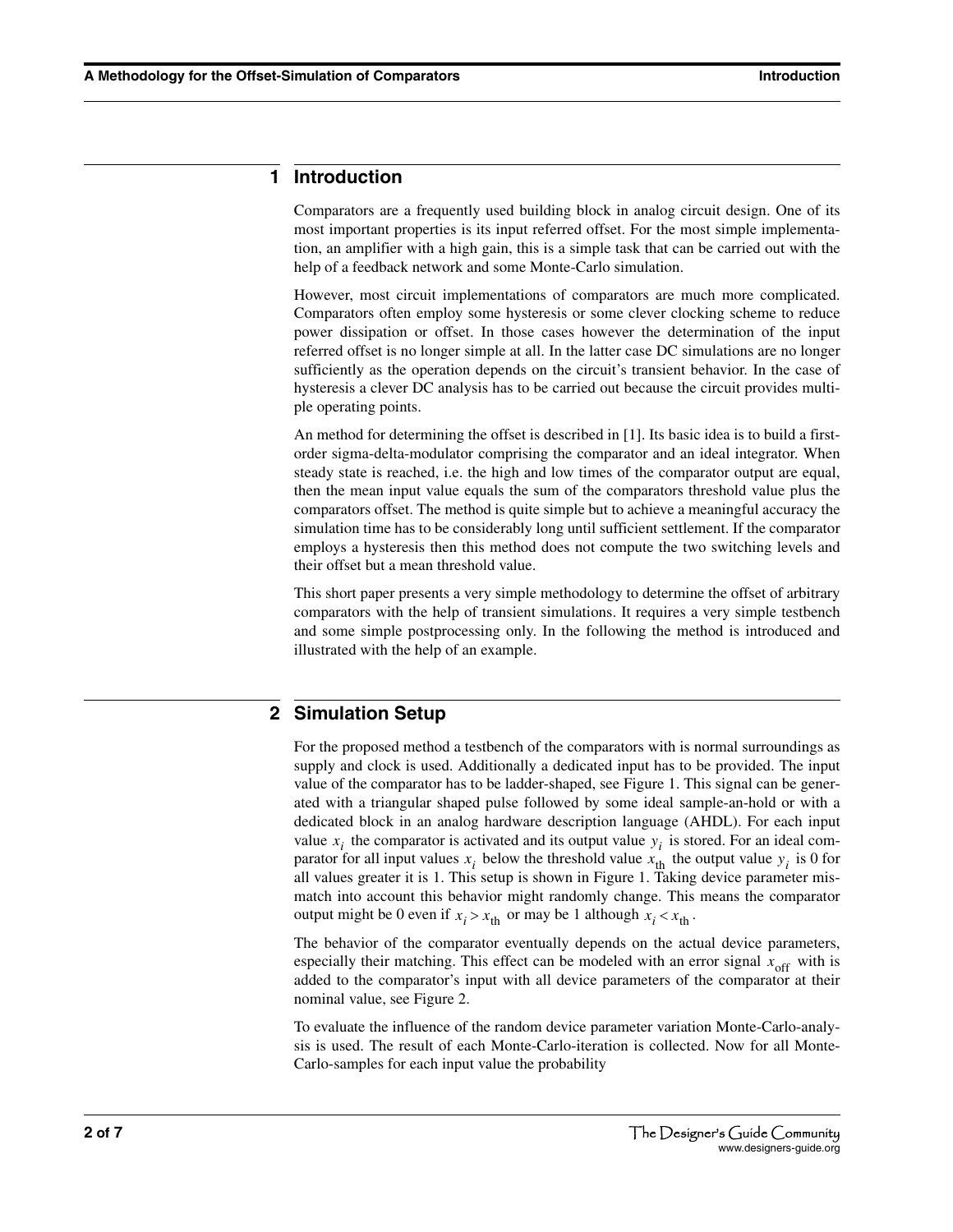#### **1 Introduction**

Comparators are a frequently used building block in analog circuit design. One of its most important properties is its input referred offset. For the most simple implementation, an amplifier with a high gain, this is a simple task that can be carried out with the help of a feedback network and some Monte-Carlo simulation.

However, most circuit implementations of comparators are much more complicated. Comparators often employ some hysteresis or some clever clocking scheme to reduce power dissipation or offset. In those cases however the determination of the input referred offset is no longer simple at all. In the latter case DC simulations are no longer sufficiently as the operation depends on the circuit's transient behavior. In the case of hysteresis a clever DC analysis has to be carried out because the circuit provides multiple operating points.

An method for determining the offset is described in [\[1\]](#page-6-0). Its basic idea is to build a firstorder sigma-delta-modulator comprising the comparator and an ideal integrator. When steady state is reached, i.e. the high and low times of the comparator output are equal, then the mean input value equals the sum of the comparators threshold value plus the comparators offset. The method is quite simple but to achieve a meaningful accuracy the simulation time has to be considerably long until sufficient settlement. If the comparator employs a hysteresis then this method does not compute the two switching levels and their offset but a mean threshold value.

This short paper presents a very simple methodology to determine the offset of arbitrary comparators with the help of transient simulations. It requires a very simple testbench and some simple postprocessing only. In the following the method is introduced and illustrated with the help of an example.

## **2 Simulation Setup**

For the proposed method a testbench of the comparators with is normal surroundings as supply and clock is used. Additionally a dedicated input has to be provided. The input value of the comparator has to be ladder-shaped, see [Figure 1](#page-2-1). This signal can be generated with a triangular shaped pulse followed by some ideal sample-an-hold or with a dedicated block in an analog hardware description language (AHDL). For each input value  $x_i$  the comparator is activated and its output value  $y_i$  is stored. For an ideal comparator for all input values  $x_i$  below the threshold value  $x_{\text{th}}$  the output value  $y_i$  is 0 for all values greater it is 1. This setup is shown in [Figure 1](#page-2-1). Taking device parameter mismatch into account this behavior might randomly change. This means the comparator output might be 0 even if  $x_i > x_{\text{th}}$  or may be 1 although  $x_i < x_{\text{th}}$ .

The behavior of the comparator eventually depends on the actual device parameters, especially their matching. This effect can be modeled with an error signal  $x_{\text{off}}$  with is added to the comparator's input with all device parameters of the comparator at their nominal value, see [Figure 2.](#page-2-0)

To evaluate the influence of the random device parameter variation Monte-Carlo-analysis is used. The result of each Monte-Carlo-iteration is collected. Now for all Monte-Carlo-samples for each input value the probability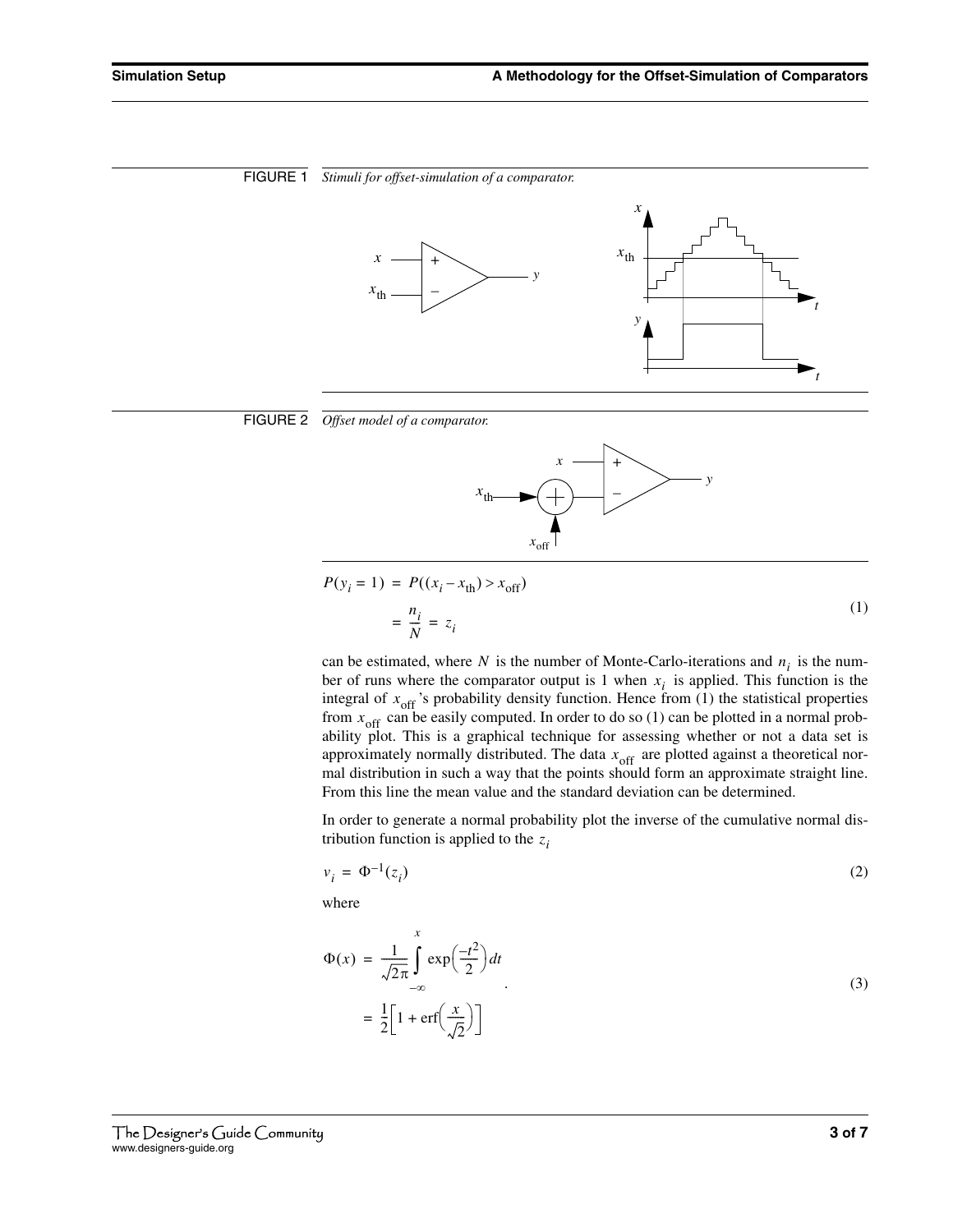<span id="page-2-1"></span><span id="page-2-0"></span>

*x*off



<span id="page-2-2"></span>(1)  $P(y_i = 1) = P((x_i - x_{\text{th}}) > x_{\text{off}})$ *ni*  $=\frac{i}{N}$  =  $z_i$ 

can be estimated, where N is the number of Monte-Carlo-iterations and  $n_i$  is the number of runs where the comparator output is 1 when  $x_i$  is applied. This function is the integral of  $x_{\text{off}}$ 's probability density function. Hence from [\(1\)](#page-2-2) the statistical properties from  $x_{\text{off}}$  can be easily computed. In order to do so [\(1\)](#page-2-2) can be plotted in a normal probability plot. This is a graphical technique for assessing whether or not a data set is approximately normally distributed. The data  $x_{\text{off}}$  are plotted against a theoretical normal distribution in such a way that the points should form an approximate straight line. From this line the mean value and the standard deviation can be determined.

In order to generate a normal probability plot the inverse of the cumulative normal distribution function is applied to the  $z_i$ 

$$
v_i = \Phi^{-1}(z_i) \tag{2}
$$

where

$$
\Phi(x) = \frac{1}{\sqrt{2\pi}} \int_{-\infty}^{x} \exp\left(\frac{-t^2}{2}\right) dt
$$
  
= 
$$
\frac{1}{2} \left[ 1 + \text{erf}\left(\frac{x}{\sqrt{2}}\right) \right]
$$
 (3)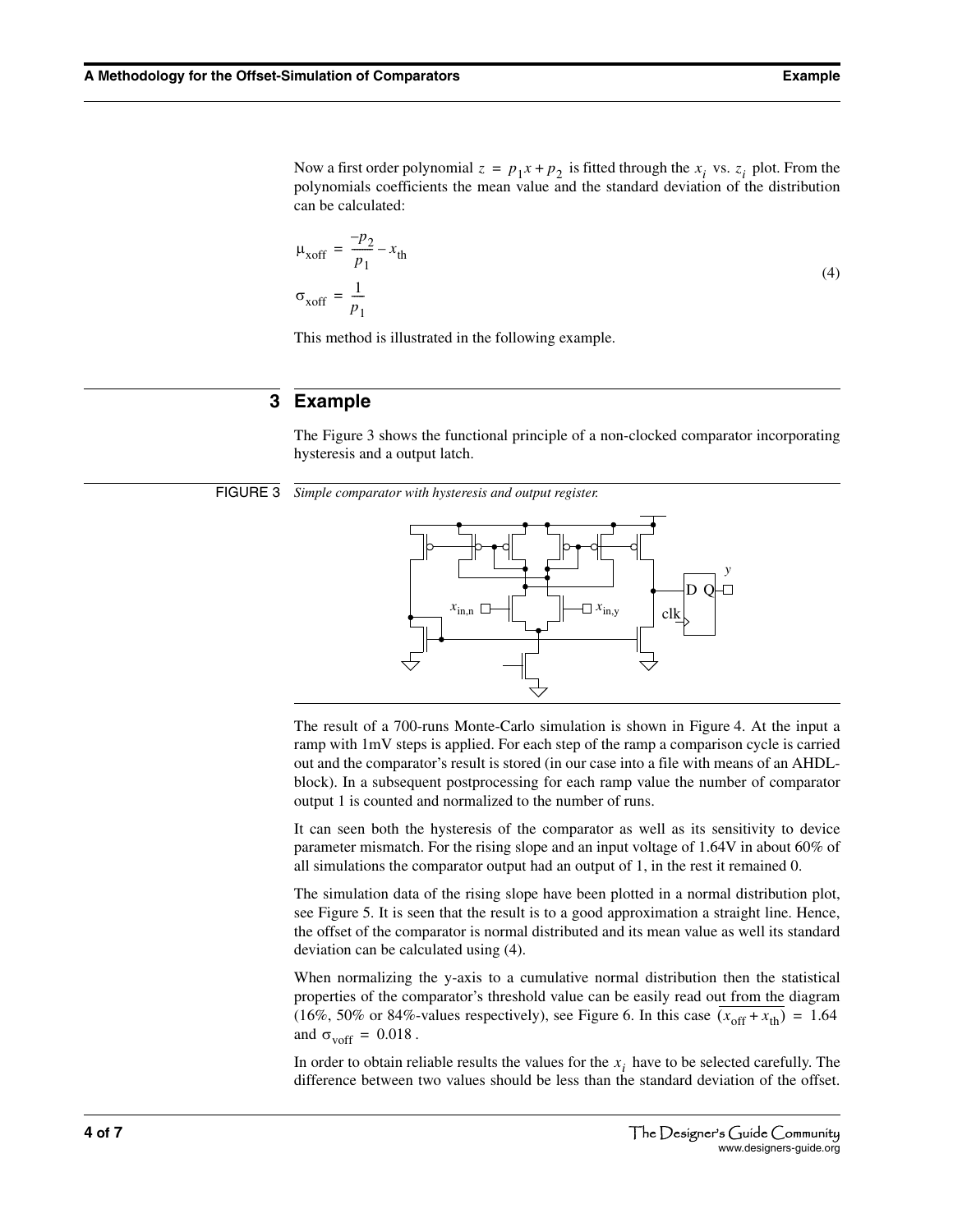<span id="page-3-0"></span>Now a first order polynomial  $z = p_1 x + p_2$  is fitted through the  $x_i$  vs.  $z_i$  plot. From the polynomials coefficients the mean value and the standard deviation of the distribution can be calculated:

$$
\mu_{xoff} = \frac{-p_2}{p_1} - x_{th}
$$
\n
$$
\sigma_{xoff} = \frac{1}{p_1}
$$
\n(4)

This method is illustrated in the following example.

#### **3 Example**

The [Figure 3](#page-3-1) shows the functional principle of a non-clocked comparator incorporating hysteresis and a output latch.

<span id="page-3-1"></span>FIGURE 3 *Simple comparator with hysteresis and output register.*



The result of a 700-runs Monte-Carlo simulation is shown in [Figure 4.](#page-4-0) At the input a ramp with 1mV steps is applied. For each step of the ramp a comparison cycle is carried out and the comparator's result is stored (in our case into a file with means of an AHDLblock). In a subsequent postprocessing for each ramp value the number of comparator output 1 is counted and normalized to the number of runs.

It can seen both the hysteresis of the comparator as well as its sensitivity to device parameter mismatch. For the rising slope and an input voltage of 1.64V in about 60% of all simulations the comparator output had an output of 1, in the rest it remained 0.

The simulation data of the rising slope have been plotted in a normal distribution plot, see [Figure 5](#page-4-1). It is seen that the result is to a good approximation a straight line. Hence, the offset of the comparator is normal distributed and its mean value as well its standard deviation can be calculated using [\(4\).](#page-3-0)

When normalizing the y-axis to a cumulative normal distribution then the statistical properties of the comparator's threshold value can be easily read out from the diagram (16%, 50% or 84%-values respectively), see [Figure 6](#page-4-2). In this case  $(x_{off} + x_{th}) = 1.64$ and  $\sigma_{\text{voff}} = 0.018$ .

In order to obtain reliable results the values for the  $x_i$  have to be selected carefully. The difference between two values should be less than the standard deviation of the offset.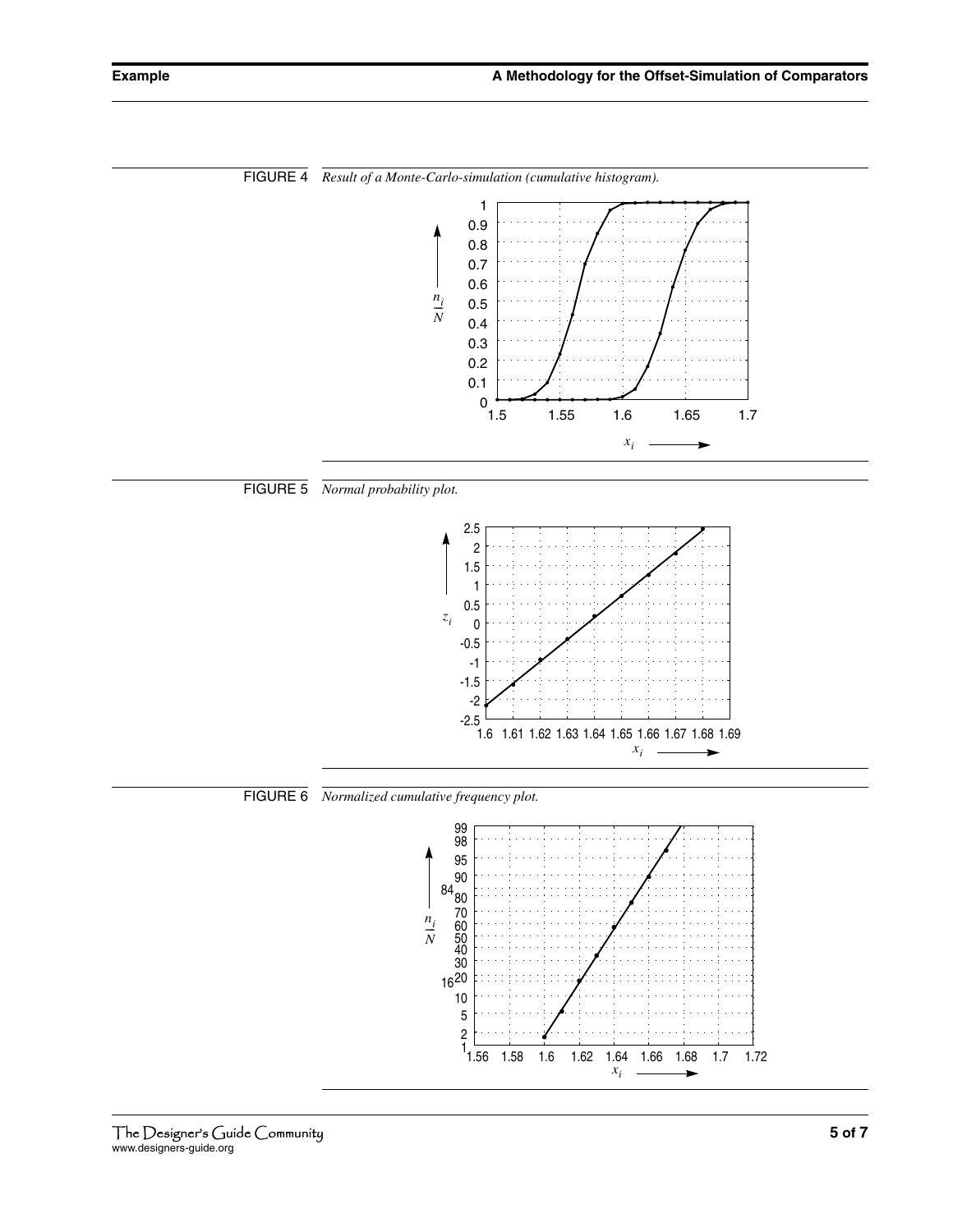

<span id="page-4-0"></span>FIGURE 4 *Result of a Monte-Carlo-simulation (cumulative histogram).*

<span id="page-4-1"></span>



<span id="page-4-2"></span>FIGURE 6 *Normalized cumulative frequency plot.*

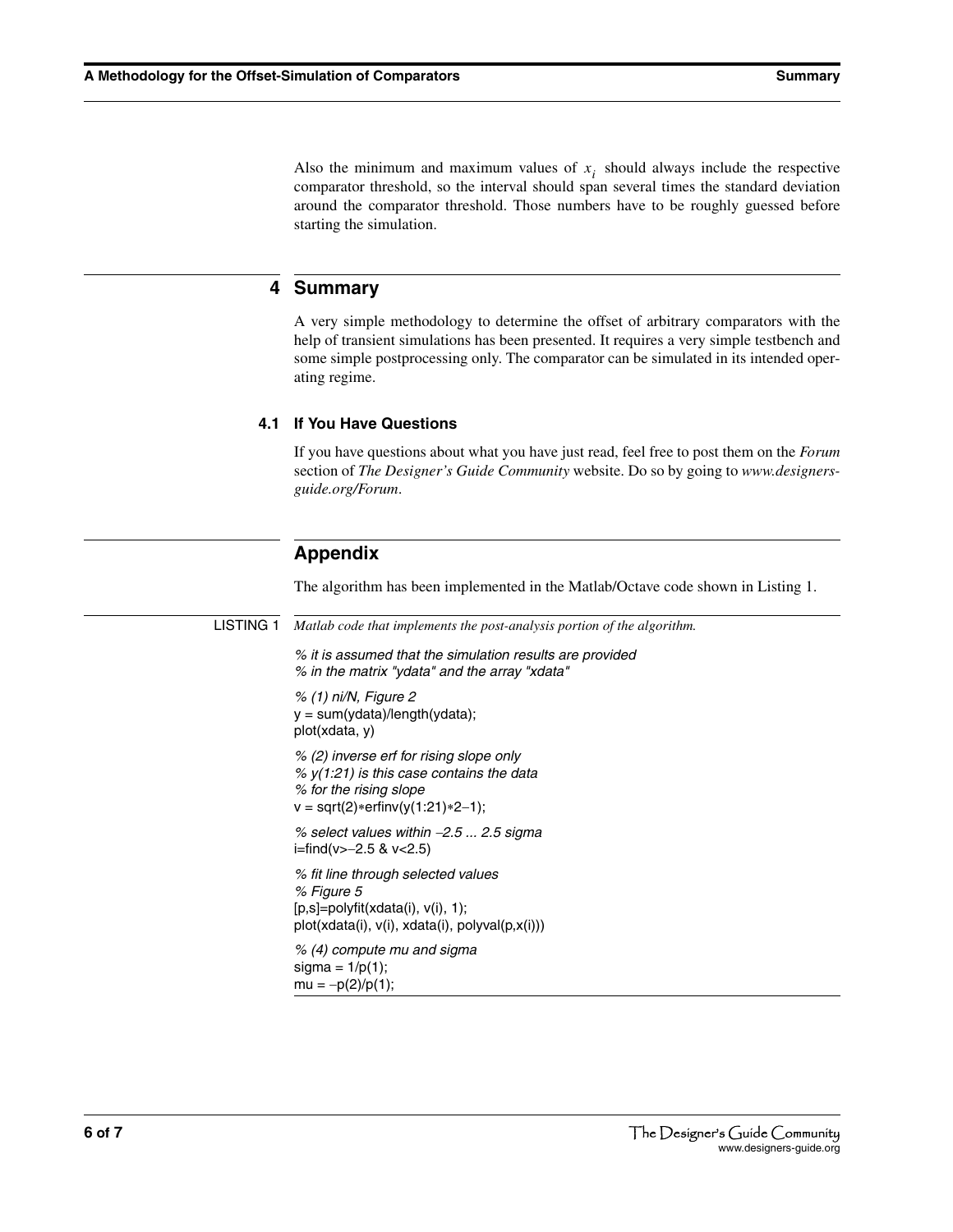Also the minimum and maximum values of  $x_i$  should always include the respective comparator threshold, so the interval should span several times the standard deviation around the comparator threshold. Those numbers have to be roughly guessed before starting the simulation.

## **4 Summary**

A very simple methodology to determine the offset of arbitrary comparators with the help of transient simulations has been presented. It requires a very simple testbench and some simple postprocessing only. The comparator can be simulated in its intended operating regime.

#### **4.1 If You Have Questions**

If you have questions about what you have just read, feel free to post them on the *Forum* section of *[The Designer's Guide Community](http://www.designers-guide.org)* website. Do so by going to *[www.designers](http://www.designers-guide.org/Forum)[guide.org/Forum](http://www.designers-guide.org/Forum)*.

# **Appendix**

The algorithm has been implemented in the Matlab/Octave code shown in [Listing 1.](#page-5-0)

<span id="page-5-0"></span>

|  | <b>LISTING 1</b> Matlab code that implements the post-analysis portion of the algorithm.                                                                  |
|--|-----------------------------------------------------------------------------------------------------------------------------------------------------------|
|  | % it is assumed that the simulation results are provided<br>% in the matrix "ydata" and the array "xdata"                                                 |
|  | % (1) ni/N, Figure 2<br>$y = sum(ydata)/length(ydata);$<br>plot(xdata, y)                                                                                 |
|  | % (2) inverse erf for rising slope only<br>% $y(1:21)$ is this case contains the data<br>% for the rising slope<br>$v = sqrt(2) * erfinv(y(1:21) * 2-1);$ |
|  | % select values within $-2.5$ 2.5 sigma<br>i=find(v>-2.5 & v<2.5)                                                                                         |
|  | % fit line through selected values<br>% Figure 5<br>$[p,s] = polyfit(xdata(i), v(i), 1);$<br>plot(xdata(i), v(i), xdata(i), polyval(p,x(i)))              |
|  | % (4) compute mu and sigma<br>sigma = $1/p(1)$ ;<br>$mu = -p(2)/p(1);$                                                                                    |
|  |                                                                                                                                                           |